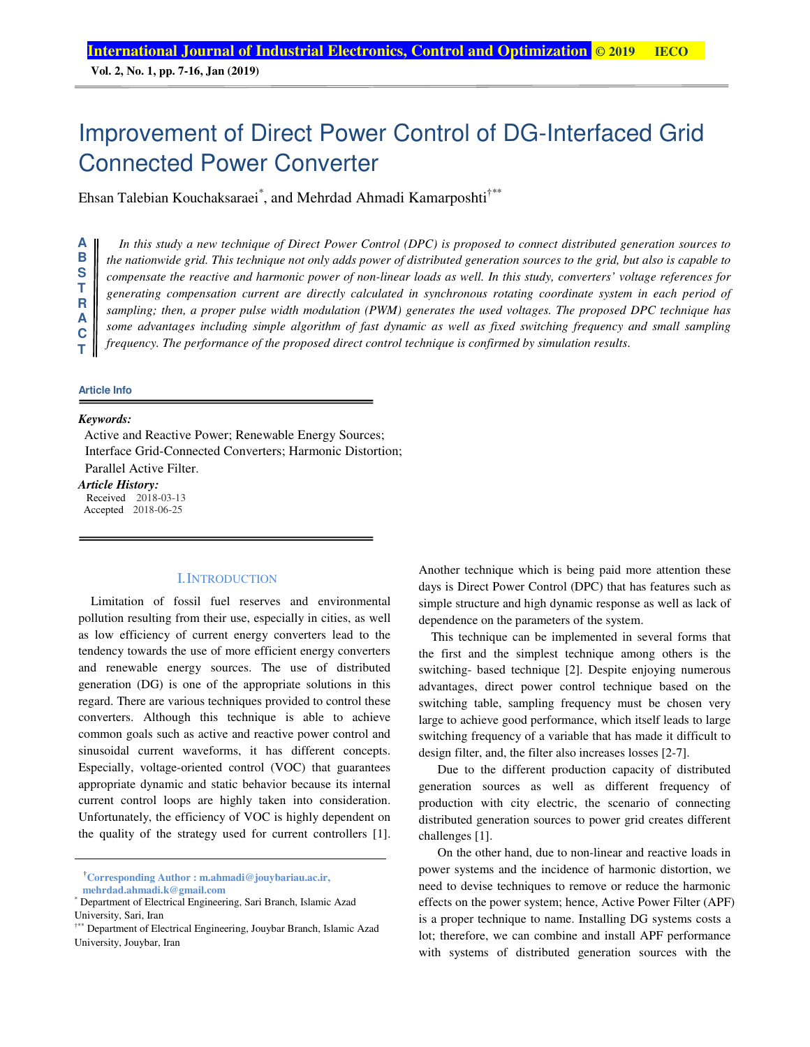**Vol. 2, No. 1, pp. 7-16, Jan (2019)**

# Improvement of Direct Power Control of DG-Interfaced Grid Connected Power Converter

Ehsan Talebian Kouchaksaraei<sup>\*</sup>, and Mehrdad Ahmadi Kamarposhti<sup>†\*\*</sup>

*In this study a new technique of Direct Power Control (DPC) is proposed to connect distributed generation sources to the nationwide grid. This technique not only adds power of distributed generation sources to the grid, but also is capable to compensate the reactive and harmonic power of non-linear loads as well. In this study, converters' voltage references for generating compensation current are directly calculated in synchronous rotating coordinate system in each period of sampling; then, a proper pulse width modulation (PWM) generates the used voltages. The proposed DPC technique has some advantages including simple algorithm of fast dynamic as well as fixed switching frequency and small sampling frequency. The performance of the proposed direct control technique is confirmed by simulation results*.

# **C T**

**A B S T R A**

#### **Article Info**

#### *Keywords:*

Active and Reactive Power; Renewable Energy Sources; Interface Grid-Connected Converters; Harmonic Distortion; Parallel Active Filter.

#### *Article History:*

Received 2018-03-13 Accepted 2018-06-25

#### I.INTRODUCTION

Limitation of fossil fuel reserves and environmental pollution resulting from their use, especially in cities, as well as low efficiency of current energy converters lead to the tendency towards the use of more efficient energy converters and renewable energy sources. The use of distributed generation (DG) is one of the appropriate solutions in this regard. There are various techniques provided to control these converters. Although this technique is able to achieve common goals such as active and reactive power control and sinusoidal current waveforms, it has different concepts. Especially, voltage-oriented control (VOC) that guarantees appropriate dynamic and static behavior because its internal current control loops are highly taken into consideration. Unfortunately, the efficiency of VOC is highly dependent on the quality of the strategy used for current controllers [1].

†**Corresponding Author : m.ahmadi@jouybariau.ac.ir, mehrdad.ahmadi.k@gmail.com**

Another technique which is being paid more attention these days is Direct Power Control (DPC) that has features such as simple structure and high dynamic response as well as lack of dependence on the parameters of the system.

This technique can be implemented in several forms that the first and the simplest technique among others is the switching- based technique [2]. Despite enjoying numerous advantages, direct power control technique based on the switching table, sampling frequency must be chosen very large to achieve good performance, which itself leads to large switching frequency of a variable that has made it difficult to design filter, and, the filter also increases losses [2-7].

 Due to the different production capacity of distributed generation sources as well as different frequency of production with city electric, the scenario of connecting distributed generation sources to power grid creates different challenges [1].

 On the other hand, due to non-linear and reactive loads in power systems and the incidence of harmonic distortion, we need to devise techniques to remove or reduce the harmonic effects on the power system; hence, Active Power Filter (APF) is a proper technique to name. Installing DG systems costs a lot; therefore, we can combine and install APF performance with systems of distributed generation sources with the

<sup>\*</sup> Department of Electrical Engineering, Sari Branch, Islamic Azad University, Sari, Iran

<sup>†\*\*</sup> Department of Electrical Engineering, Jouybar Branch, Islamic Azad University, Jouybar, Iran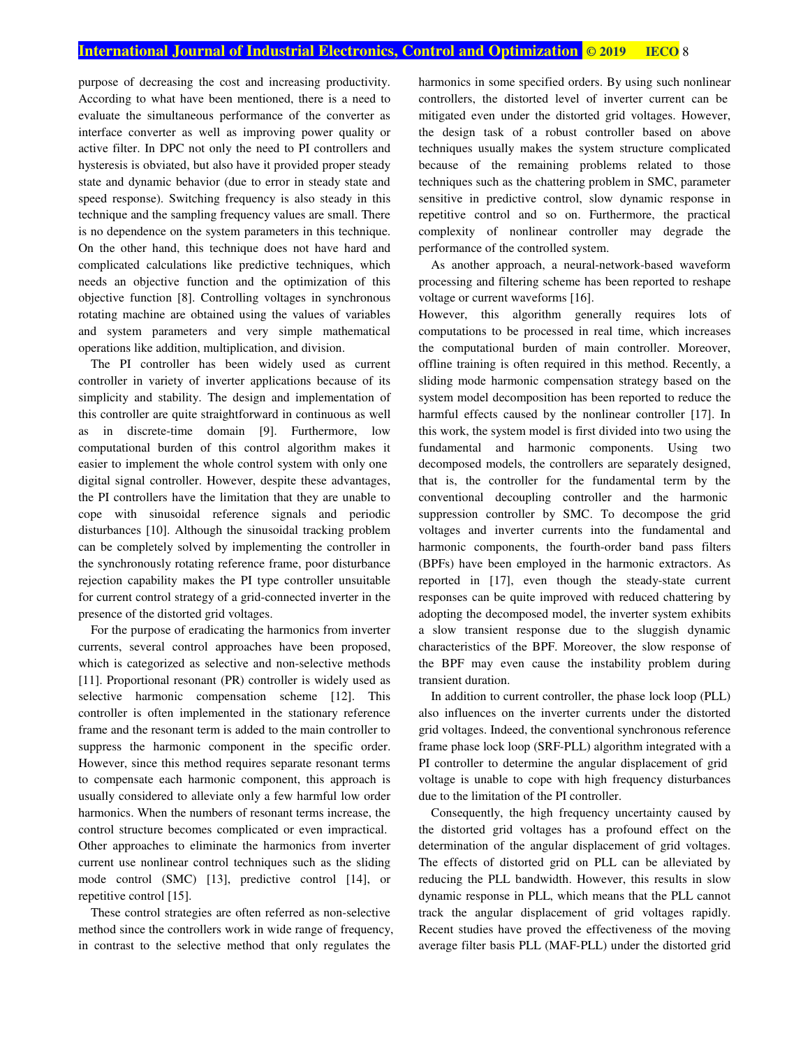purpose of decreasing the cost and increasing productivity. According to what have been mentioned, there is a need to evaluate the simultaneous performance of the converter as interface converter as well as improving power quality or active filter. In DPC not only the need to PI controllers and hysteresis is obviated, but also have it provided proper steady state and dynamic behavior (due to error in steady state and speed response). Switching frequency is also steady in this technique and the sampling frequency values are small. There is no dependence on the system parameters in this technique. On the other hand, this technique does not have hard and complicated calculations like predictive techniques, which needs an objective function and the optimization of this objective function [8]. Controlling voltages in synchronous rotating machine are obtained using the values of variables and system parameters and very simple mathematical operations like addition, multiplication, and division.

The PI controller has been widely used as current controller in variety of inverter applications because of its simplicity and stability. The design and implementation of this controller are quite straightforward in continuous as well as in discrete-time domain [9]. Furthermore, low computational burden of this control algorithm makes it easier to implement the whole control system with only one digital signal controller. However, despite these advantages, the PI controllers have the limitation that they are unable to cope with sinusoidal reference signals and periodic disturbances [10]. Although the sinusoidal tracking problem can be completely solved by implementing the controller in the synchronously rotating reference frame, poor disturbance rejection capability makes the PI type controller unsuitable for current control strategy of a grid-connected inverter in the presence of the distorted grid voltages.

For the purpose of eradicating the harmonics from inverter currents, several control approaches have been proposed, which is categorized as selective and non-selective methods [11]. Proportional resonant (PR) controller is widely used as selective harmonic compensation scheme [12]. This controller is often implemented in the stationary reference frame and the resonant term is added to the main controller to suppress the harmonic component in the specific order. However, since this method requires separate resonant terms to compensate each harmonic component, this approach is usually considered to alleviate only a few harmful low order harmonics. When the numbers of resonant terms increase, the control structure becomes complicated or even impractical. Other approaches to eliminate the harmonics from inverter current use nonlinear control techniques such as the sliding mode control (SMC) [13], predictive control [14], or repetitive control [15].

These control strategies are often referred as non-selective method since the controllers work in wide range of frequency, in contrast to the selective method that only regulates the

harmonics in some specified orders. By using such nonlinear controllers, the distorted level of inverter current can be mitigated even under the distorted grid voltages. However, the design task of a robust controller based on above techniques usually makes the system structure complicated because of the remaining problems related to those techniques such as the chattering problem in SMC, parameter sensitive in predictive control, slow dynamic response in repetitive control and so on. Furthermore, the practical complexity of nonlinear controller may degrade the performance of the controlled system.

As another approach, a neural-network-based waveform processing and filtering scheme has been reported to reshape voltage or current waveforms [16].

However, this algorithm generally requires lots of computations to be processed in real time, which increases the computational burden of main controller. Moreover, offline training is often required in this method. Recently, a sliding mode harmonic compensation strategy based on the system model decomposition has been reported to reduce the harmful effects caused by the nonlinear controller [17]. In this work, the system model is first divided into two using the fundamental and harmonic components. Using two decomposed models, the controllers are separately designed, that is, the controller for the fundamental term by the conventional decoupling controller and the harmonic suppression controller by SMC. To decompose the grid voltages and inverter currents into the fundamental and harmonic components, the fourth-order band pass filters (BPFs) have been employed in the harmonic extractors. As reported in [17], even though the steady-state current responses can be quite improved with reduced chattering by adopting the decomposed model, the inverter system exhibits a slow transient response due to the sluggish dynamic characteristics of the BPF. Moreover, the slow response of the BPF may even cause the instability problem during transient duration.

In addition to current controller, the phase lock loop (PLL) also influences on the inverter currents under the distorted grid voltages. Indeed, the conventional synchronous reference frame phase lock loop (SRF-PLL) algorithm integrated with a PI controller to determine the angular displacement of grid voltage is unable to cope with high frequency disturbances due to the limitation of the PI controller.

Consequently, the high frequency uncertainty caused by the distorted grid voltages has a profound effect on the determination of the angular displacement of grid voltages. The effects of distorted grid on PLL can be alleviated by reducing the PLL bandwidth. However, this results in slow dynamic response in PLL, which means that the PLL cannot track the angular displacement of grid voltages rapidly. Recent studies have proved the effectiveness of the moving average filter basis PLL (MAF-PLL) under the distorted grid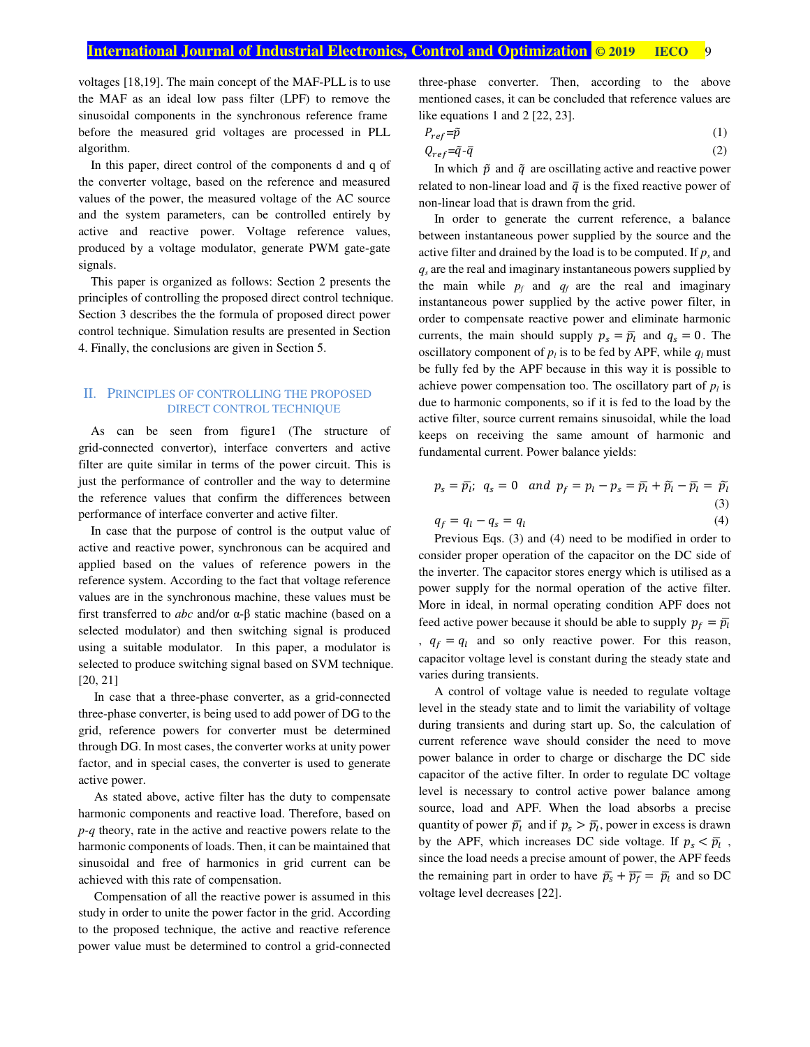$Q$ 

voltages [18,19]. The main concept of the MAF-PLL is to use the MAF as an ideal low pass filter (LPF) to remove the sinusoidal components in the synchronous reference frame before the measured grid voltages are processed in PLL algorithm.

In this paper, direct control of the components d and q of the converter voltage, based on the reference and measured values of the power, the measured voltage of the AC source and the system parameters, can be controlled entirely by active and reactive power. Voltage reference values, produced by a voltage modulator, generate PWM gate-gate signals.

This paper is organized as follows: Section 2 presents the principles of controlling the proposed direct control technique. Section 3 describes the the formula of proposed direct power control technique. Simulation results are presented in Section 4. Finally, the conclusions are given in Section 5.

#### II. PRINCIPLES OF CONTROLLING THE PROPOSED DIRECT CONTROL TECHNIQUE

As can be seen from figure1 (The structure of grid-connected convertor), interface converters and active filter are quite similar in terms of the power circuit. This is just the performance of controller and the way to determine the reference values that confirm the differences between performance of interface converter and active filter.

In case that the purpose of control is the output value of active and reactive power, synchronous can be acquired and applied based on the values of reference powers in the reference system. According to the fact that voltage reference values are in the synchronous machine, these values must be first transferred to *abc* and/or α-β static machine (based on a selected modulator) and then switching signal is produced using a suitable modulator. In this paper, a modulator is selected to produce switching signal based on SVM technique. [20, 21]

In case that a three-phase converter, as a grid-connected three-phase converter, is being used to add power of DG to the grid, reference powers for converter must be determined through DG. In most cases, the converter works at unity power factor, and in special cases, the converter is used to generate active power.

As stated above, active filter has the duty to compensate harmonic components and reactive load. Therefore, based on *p-q* theory, rate in the active and reactive powers relate to the harmonic components of loads. Then, it can be maintained that sinusoidal and free of harmonics in grid current can be achieved with this rate of compensation.

Compensation of all the reactive power is assumed in this study in order to unite the power factor in the grid. According to the proposed technique, the active and reactive reference power value must be determined to control a grid-connected three-phase converter. Then, according to the above mentioned cases, it can be concluded that reference values are like equations 1 and 2 [22, 23].

$$
P_{ref} = \tilde{p} \tag{1}
$$

$$
ref = \tilde{q} - \bar{q} \tag{2}
$$

In which  $\tilde{p}$  and  $\tilde{q}$  are oscillating active and reactive power related to non-linear load and  $\bar{q}$  is the fixed reactive power of non-linear load that is drawn from the grid.

In order to generate the current reference, a balance between instantaneous power supplied by the source and the active filter and drained by the load is to be computed. If  $p_s$  and *qs* are the real and imaginary instantaneous powers supplied by the main while  $p_f$  and  $q_f$  are the real and imaginary instantaneous power supplied by the active power filter, in order to compensate reactive power and eliminate harmonic currents, the main should supply  $p_s = \overline{p}_l$  and  $q_s = 0$ . The oscillatory component of  $p_l$  is to be fed by APF, while  $q_l$  must be fully fed by the APF because in this way it is possible to achieve power compensation too. The oscillatory part of  $p_l$  is due to harmonic components, so if it is fed to the load by the active filter, source current remains sinusoidal, while the load keeps on receiving the same amount of harmonic and fundamental current. Power balance yields:

$$
p_s = \overline{p}_l; \ q_s = 0 \quad and \ p_f = p_l - p_s = \overline{p}_l + \widetilde{p}_l - \overline{p}_l = \widetilde{p}_l \tag{3}
$$

 $q_f = q_l - q_s = q_l$ (4)

Previous Eqs. (3) and (4) need to be modified in order to consider proper operation of the capacitor on the DC side of the inverter. The capacitor stores energy which is utilised as a power supply for the normal operation of the active filter. More in ideal, in normal operating condition APF does not feed active power because it should be able to supply  $p_f = \overline{p}_l$ ,  $q_f = q_l$  and so only reactive power. For this reason, capacitor voltage level is constant during the steady state and varies during transients.

A control of voltage value is needed to regulate voltage level in the steady state and to limit the variability of voltage during transients and during start up. So, the calculation of current reference wave should consider the need to move power balance in order to charge or discharge the DC side capacitor of the active filter. In order to regulate DC voltage level is necessary to control active power balance among source, load and APF. When the load absorbs a precise quantity of power  $\bar{p}_l$  and if  $p_s > \bar{p}_l$ , power in excess is drawn by the APF, which increases DC side voltage. If  $p_s < \bar{p}_l$ , since the load needs a precise amount of power, the APF feeds the remaining part in order to have  $\bar{p}_s + \bar{p}_f = \bar{p}_l$  and so DC voltage level decreases [22].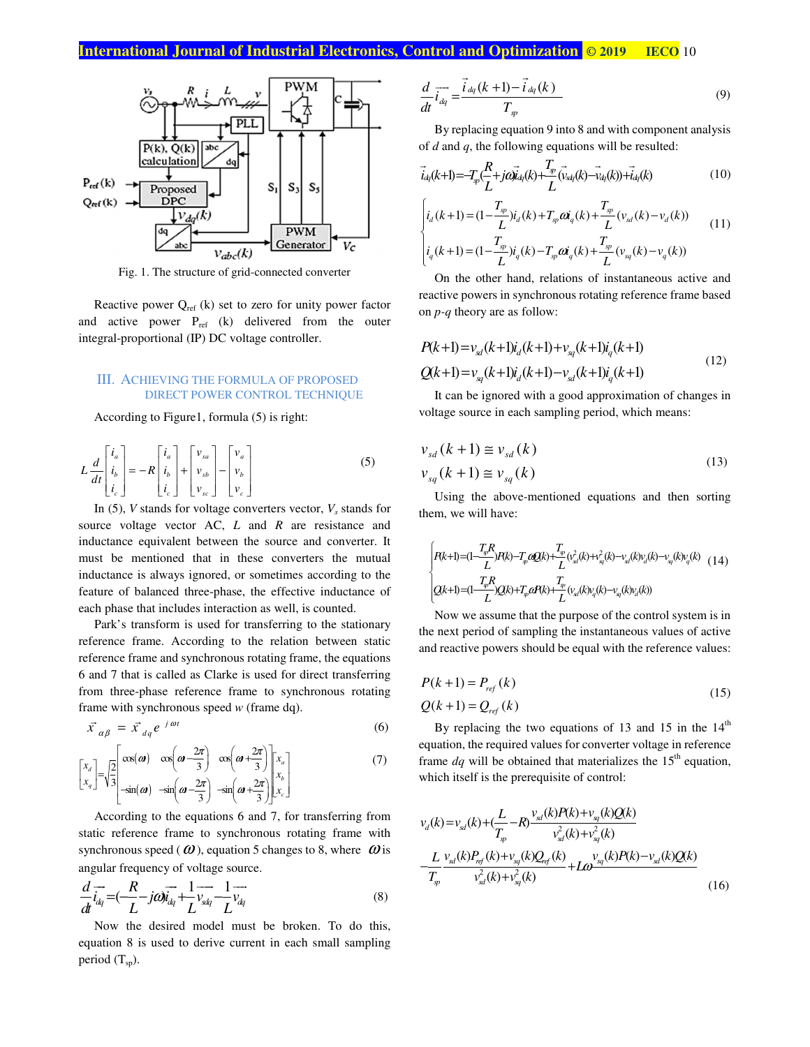

Fig. 1. The structure of grid-connected converter

Reactive power  $Q_{ref}$  (k) set to zero for unity power factor and active power  $P_{ref}$  (k) delivered from the outer integral-proportional (IP) DC voltage controller.

#### III. ACHIEVING THE FORMULA OF PROPOSED DIRECT POWER CONTROL TECHNIQUE

According to Figure1, formula (5) is right:

$$
L\frac{d}{dt}\begin{bmatrix} i_a \\ i_b \\ i_c \end{bmatrix} = -R\begin{bmatrix} i_a \\ i_b \\ i_c \end{bmatrix} + \begin{bmatrix} v_{sa} \\ v_{sb} \\ v_{sc} \end{bmatrix} - \begin{bmatrix} v_a \\ v_b \\ v_c \end{bmatrix}
$$
 (5)

In  $(5)$ , *V* stands for voltage converters vector,  $V_s$  stands for source voltage vector AC, *L* and *R* are resistance and inductance equivalent between the source and converter. It must be mentioned that in these converters the mutual inductance is always ignored, or sometimes according to the feature of balanced three-phase, the effective inductance of each phase that includes interaction as well, is counted.

Park's transform is used for transferring to the stationary reference frame. According to the relation between static reference frame and synchronous rotating frame, the equations 6 and 7 that is called as Clarke is used for direct transferring from three-phase reference frame to synchronous rotating frame with synchronous speed *w* (frame dq).

$$
\vec{x}_{\alpha\beta} = \vec{x}_{dq} e^{-j\omega t}
$$
\n(6)

$$
\begin{bmatrix} x_d \\ x_q \end{bmatrix} = \sqrt{\frac{2}{3}} \begin{bmatrix} \cos(\omega) & \cos(\omega - \frac{2\pi}{3}) & \cos(\omega + \frac{2\pi}{3}) \\ -\sin(\omega) & -\sin(\omega - \frac{2\pi}{3}) & -\sin(\omega + \frac{2\pi}{3}) \end{bmatrix} \begin{bmatrix} x_a \\ x_b \\ x_c \end{bmatrix}
$$
 (7)

According to the equations 6 and 7, for transferring from static reference frame to synchronous rotating frame with synchronous speed ( $\omega$ ), equation 5 changes to 8, where  $\omega$  is angular frequency of voltage source.

$$
\frac{d}{dt}\overrightarrow{i_{dq}} = \left(\frac{R}{L} - j\omega\right)\overrightarrow{i_{dq}} + \frac{1}{L}\overrightarrow{v_{dq}} - \frac{1}{L}\overrightarrow{v_{dq}}
$$
\n(8)

Now the desired model must be broken. To do this, equation 8 is used to derive current in each small sampling period  $(T_{sp})$ .

$$
\frac{d}{dt}\overrightarrow{i_{dq}} = \frac{\overrightarrow{i}_{dq}(k+1) - \overrightarrow{i}_{dq}(k)}{T_{sp}} \tag{9}
$$

By replacing equation 9 into 8 and with component analysis of *d* and *q*, the following equations will be resulted:

$$
\vec{i}_{di}(k+1) = -T_{y} \left( \frac{R}{L} + j\omega \vec{i}_{di}(k) + \frac{T_{y}}{L} (\vec{v}_{xi}(k) - \vec{v}_{di}(k)) + \vec{i}_{di}(k) \right)
$$
(10)

$$
\begin{cases}\ni_d(k+1) = (1 - \frac{T_{sp}}{L})i_d(k) + T_{sp}\omega_q(k) + \frac{T_{sp}}{L}(v_{sd}(k) - v_d(k)) \\
i_q(k+1) = (1 - \frac{T_{sp}}{L})i_q(k) - T_{sp}\omega_q(k) + \frac{T_{sp}}{L}(v_{sq}(k) - v_q(k))\n\end{cases}
$$
\n(11)

On the other hand, relations of instantaneous active and reactive powers in synchronous rotating reference frame based on *p-q* theory are as follow:

$$
P(k+1) = v_{sd}(k+1)i_d(k+1) + v_{sq}(k+1)i_q(k+1)
$$
  
\n
$$
Q(k+1) = v_{sq}(k+1)i_d(k+1) - v_{sd}(k+1)i_q(k+1)
$$
\n(12)

It can be ignored with a good approximation of changes in voltage source in each sampling period, which means:

$$
v_{sd}(k+1) \cong v_{sd}(k)
$$
  
\n
$$
v_{sq}(k+1) \cong v_{sq}(k)
$$
\n(13)

Using the above-mentioned equations and then sorting them, we will have:

$$
\begin{cases}\nRk+1)=(1-\frac{T_{\varphi}R}{L})R(k)-T_{\varphi}\omega Q(k)+\frac{T_{\varphi}}{L}(v_{\alpha l}^{2}(k)+v_{\alpha l}^{2}(k)-v_{\alpha l}(k)v_{d}(k)-v_{\alpha l}(k)v_{q}(k)\\
(2k+1)=(1-\frac{T_{\varphi}R}{L})Q(k)+T_{\varphi}\omega R(k)+\frac{T_{\varphi}}{L}(v_{\alpha l}(k)v_{q}(k)-v_{\alpha l}(k)v_{d}(k))\n\end{cases} (14)
$$

Now we assume that the purpose of the control system is in the next period of sampling the instantaneous values of active and reactive powers should be equal with the reference values:

$$
P(k+1) = Pref(k)
$$
  
 
$$
Q(k+1) = Qref(k)
$$
 (15)

By replacing the two equations of 13 and 15 in the  $14<sup>th</sup>$ equation, the required values for converter voltage in reference frame  $dq$  will be obtained that materializes the  $15<sup>th</sup>$  equation, which itself is the prerequisite of control:

$$
v_{d}(k) = v_{st}(k) + \left(\frac{L}{T_{sp}} - R\right) \frac{v_{st}(k)P(k) + v_{sq}(k)Q(k)}{v_{st}^{2}(k) + v_{sq}^{2}(k)}
$$

$$
= \frac{L}{T_{sp}} \frac{v_{st}(k)P_{ref}(k) + v_{sq}(k)Q_{ref}(k)}{v_{st}^{2}(k) + v_{sq}^{2}(k)} + L\omega \frac{v_{sq}(k)P(k) - v_{st}(k)Q(k)}{v_{st}^{2}(k) + v_{sq}^{2}(k)} \tag{16}
$$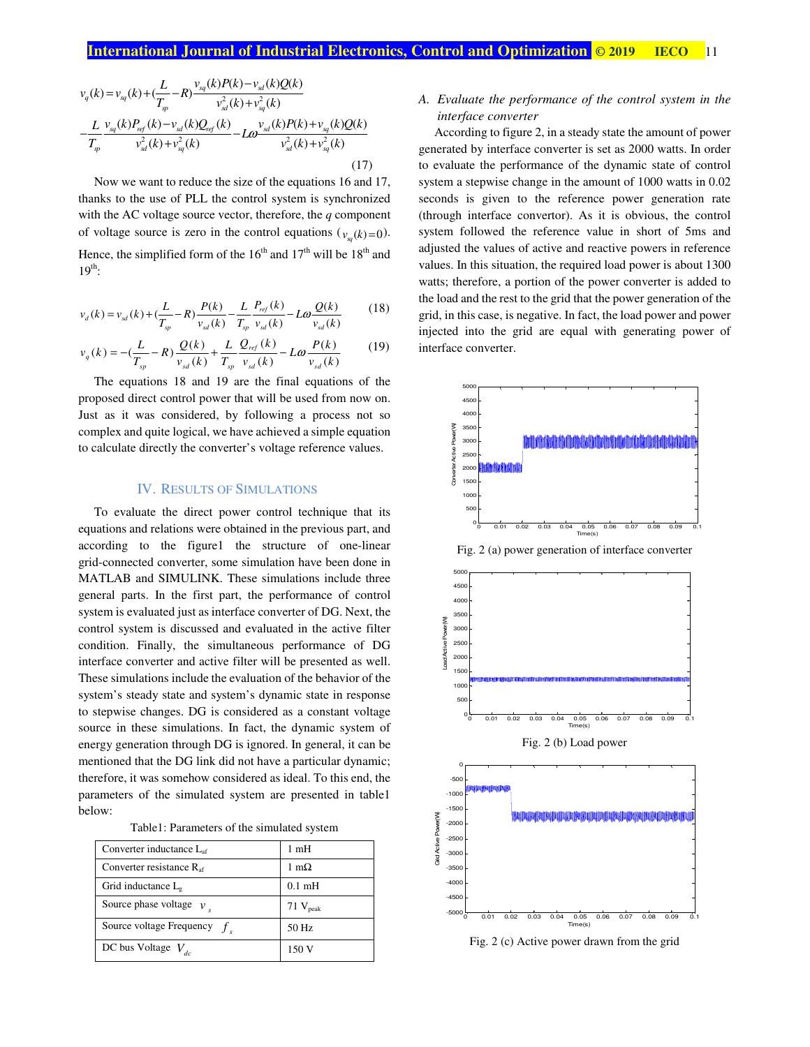$$
v_q(k) = v_{sq}(k) + \left(\frac{L}{T_{sp}} - R\right) \frac{v_{sq}(k)P(k) - v_{sd}(k)Q(k)}{v_{sd}^2(k) + v_{sq}^2(k)}
$$
  

$$
- \frac{L}{T_{sp}} \frac{v_{sq}(k)P_{ref}(k) - v_{sd}(k)Q_{ref}(k)}{v_{sd}^2(k) + v_{sq}^2(k)} - L\omega \frac{v_{sd}(k)P(k) + v_{sq}(k)Q(k)}{v_{sd}^2(k) + v_{sq}^2(k)}
$$
(17)

Now we want to reduce the size of the equations 16 and 17, thanks to the use of PLL the control system is synchronized with the AC voltage source vector, therefore, the *q* component of voltage source is zero in the control equations  $(v_{\mathbf{x}(\mathbf{y})=0})$ . Hence, the simplified form of the  $16<sup>th</sup>$  and  $17<sup>th</sup>$  will be  $18<sup>th</sup>$  and  $19^{th}$ :

$$
v_d(k) = v_{sd}(k) + \left(\frac{L}{T_{sp}} - R\right) \frac{P(k)}{v_{sd}(k)} - \frac{L}{T_{sp}} \frac{P_{ref}(k)}{v_{sd}(k)} - L\omega \frac{Q(k)}{v_{sd}(k)}\tag{18}
$$

$$
v_q(k) = -\left(\frac{L}{T_{sp}} - R\right) \frac{Q(k)}{v_{sd}(k)} + \frac{L}{T_{sp}} \frac{Q_{ref}(k)}{v_{sd}(k)} - L\omega \frac{P(k)}{v_{sd}(k)}\tag{19}
$$

The equations 18 and 19 are the final equations of the proposed direct control power that will be used from now on. Just as it was considered, by following a process not so complex and quite logical, we have achieved a simple equation to calculate directly the converter's voltage reference values.

#### IV. RESULTS OF SIMULATIONS

To evaluate the direct power control technique that its equations and relations were obtained in the previous part, and according to the figure1 the structure of one-linear grid-connected converter, some simulation have been done in MATLAB and SIMULINK. These simulations include three general parts. In the first part, the performance of control system is evaluated just as interface converter of DG. Next, the control system is discussed and evaluated in the active filter condition. Finally, the simultaneous performance of DG interface converter and active filter will be presented as well. These simulations include the evaluation of the behavior of the system's steady state and system's dynamic state in response to stepwise changes. DG is considered as a constant voltage source in these simulations. In fact, the dynamic system of energy generation through DG is ignored. In general, it can be mentioned that the DG link did not have a particular dynamic; therefore, it was somehow considered as ideal. To this end, the parameters of the simulated system are presented in table1 below:

Table1: Parameters of the simulated system

| Converter inductance $L_{\text{af}}$ | $1 \text{ mH}$   |
|--------------------------------------|------------------|
| Converter resistance R <sub>af</sub> | 1 m $\Omega$     |
| Grid inductance L <sub>p</sub>       | $0.1 \text{ mH}$ |
| Source phase voltage $v_1$           | $71$ $V_{peak}$  |
| Source voltage Frequency $fs$        | 50 Hz            |
| DC bus Voltage $V_{dc}$              | 150 V            |

# *A. Evaluate the performance of the control system in the interface converter*

According to figure 2, in a steady state the amount of power generated by interface converter is set as 2000 watts. In order to evaluate the performance of the dynamic state of control system a stepwise change in the amount of 1000 watts in 0.02 seconds is given to the reference power generation rate (through interface convertor). As it is obvious, the control system followed the reference value in short of 5ms and adjusted the values of active and reactive powers in reference values. In this situation, the required load power is about 1300 watts; therefore, a portion of the power converter is added to the load and the rest to the grid that the power generation of the grid, in this case, is negative. In fact, the load power and power injected into the grid are equal with generating power of interface converter.



Fig. 2 (a) power generation of interface converter



Fig. 2 (c) Active power drawn from the grid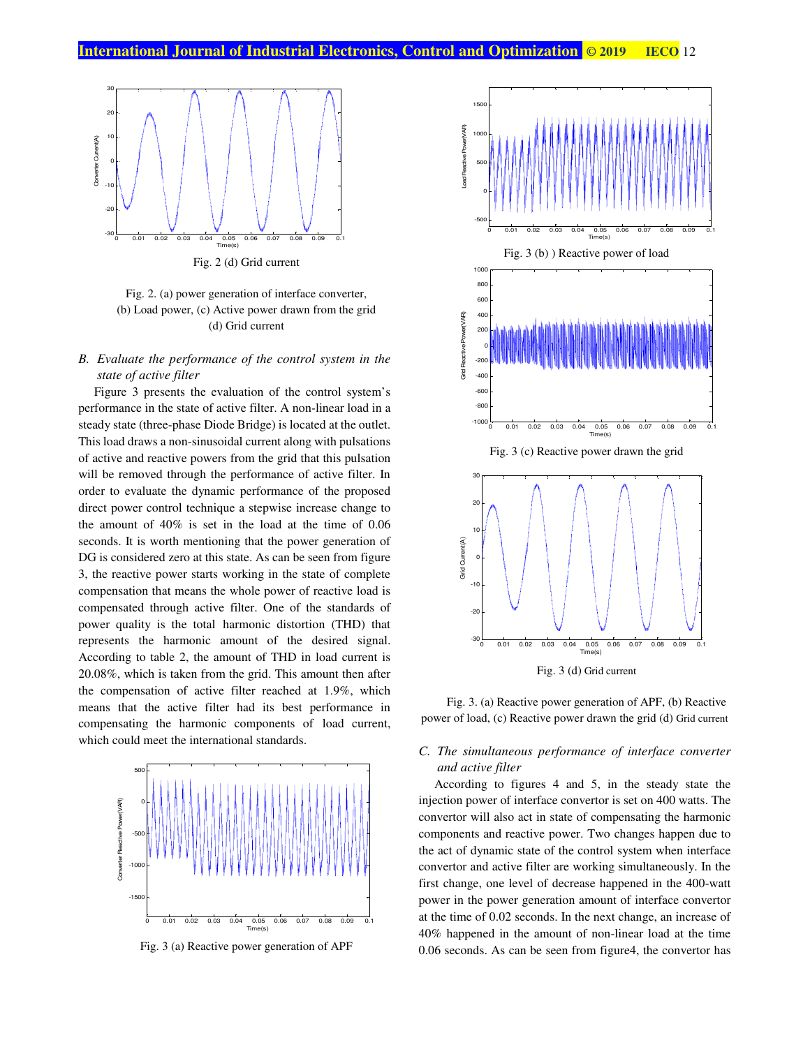



### *B. Evaluate the performance of the control system in the state of active filter*

Figure 3 presents the evaluation of the control system's performance in the state of active filter. A non-linear load in a steady state (three-phase Diode Bridge) is located at the outlet. This load draws a non-sinusoidal current along with pulsations of active and reactive powers from the grid that this pulsation will be removed through the performance of active filter. In order to evaluate the dynamic performance of the proposed direct power control technique a stepwise increase change to the amount of 40% is set in the load at the time of 0.06 seconds. It is worth mentioning that the power generation of DG is considered zero at this state. As can be seen from figure 3, the reactive power starts working in the state of complete compensation that means the whole power of reactive load is compensated through active filter. One of the standards of power quality is the total harmonic distortion (THD) that represents the harmonic amount of the desired signal. According to table 2, the amount of THD in load current is 20.08%, which is taken from the grid. This amount then after the compensation of active filter reached at 1.9%, which means that the active filter had its best performance in compensating the harmonic components of load current, which could meet the international standards.



Fig. 3 (a) Reactive power generation of APF





Fig. 3. (a) Reactive power generation of APF, (b) Reactive power of load, (c) Reactive power drawn the grid (d) Grid current

# *C. The simultaneous performance of interface converter and active filter*

According to figures 4 and 5, in the steady state the injection power of interface convertor is set on 400 watts. The convertor will also act in state of compensating the harmonic components and reactive power. Two changes happen due to the act of dynamic state of the control system when interface convertor and active filter are working simultaneously. In the first change, one level of decrease happened in the 400-watt power in the power generation amount of interface convertor at the time of 0.02 seconds. In the next change, an increase of 40% happened in the amount of non-linear load at the time 0.06 seconds. As can be seen from figure4, the convertor has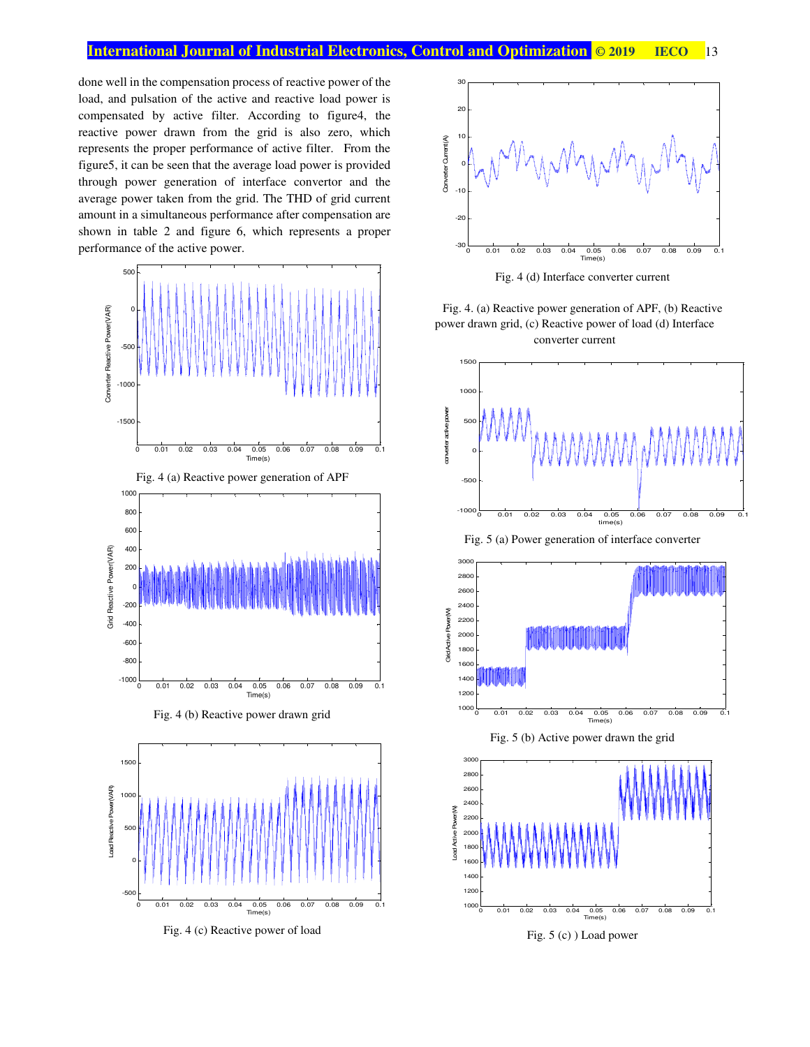done well in the compensation process of reactive power of the load, and pulsation of the active and reactive load power is compensated by active filter. According to figure4, the reactive power drawn from the grid is also zero, which represents the proper performance of active filter. From the figure5, it can be seen that the average load power is provided through power generation of interface convertor and the average power taken from the grid. The THD of grid current amount in a simultaneous performance after compensation are shown in table 2 and figure 6, which represents a proper performance of the active power.



Fig. 4 (a) Reactive power generation of APF



Fig. 4 (b) Reactive power drawn grid



Fig. 4 (c) Reactive power of load



Fig. 4 (d) Interface converter current

Fig. 4. (a) Reactive power generation of APF, (b) Reactive power drawn grid, (c) Reactive power of load (d) Interface converter current



Fig. 5 (a) Power generation of interface converter



Fig. 5 (b) Active power drawn the grid



Fig. 5 (c) ) Load power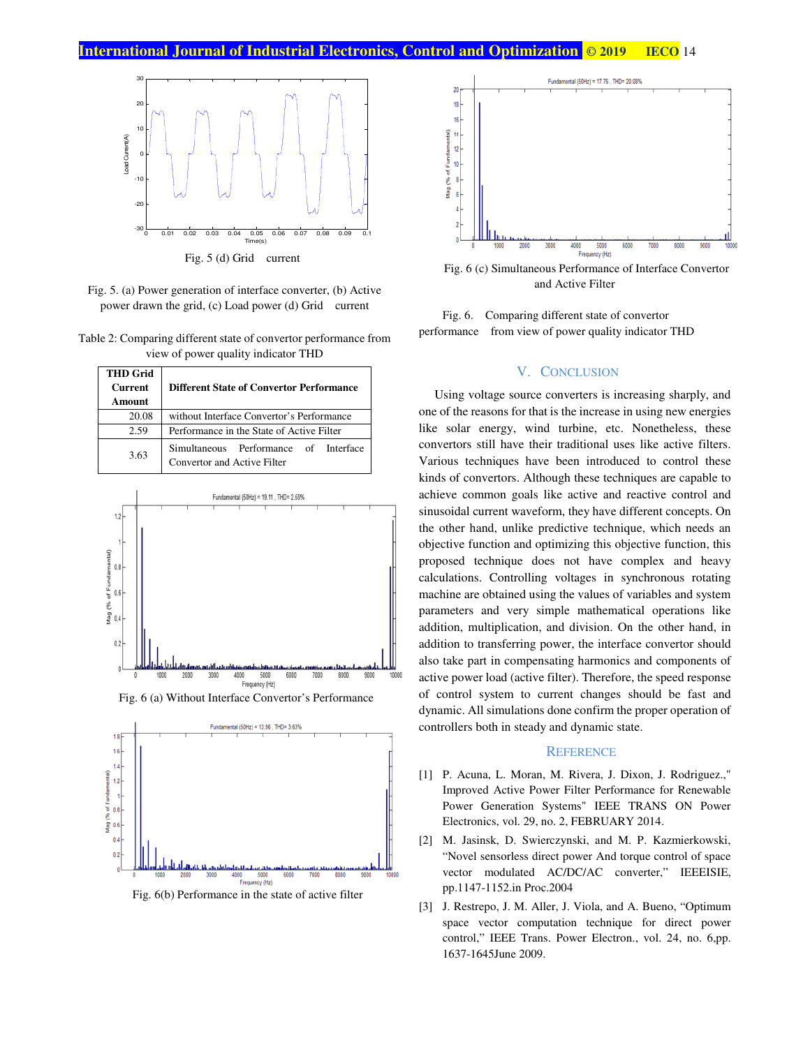

Fig. 5 (d) Grid current

- Fig. 5. (a) Power generation of interface converter, (b) Active power drawn the grid, (c) Load power (d) Grid current
- Table 2: Comparing different state of convertor performance from view of power quality indicator THD

| <b>THD Grid</b><br><b>Current</b><br>Amount | <b>Different State of Convertor Performance</b>                      |  |
|---------------------------------------------|----------------------------------------------------------------------|--|
| 20.08                                       | without Interface Convertor's Performance                            |  |
| 2.59                                        | Performance in the State of Active Filter                            |  |
| 3.63                                        | Simultaneous Performance of Interface<br>Convertor and Active Filter |  |



Fig. 6 (a) Without Interface Convertor's Performance



Fig. 6(b) Performance in the state of active filter



Fig. 6 (c) Simultaneous Performance of Interface Convertor and Active Filter

Fig. 6. Comparing different state of convertor performance from view of power quality indicator THD

#### V. CONCLUSION

Using voltage source converters is increasing sharply, and one of the reasons for that is the increase in using new energies like solar energy, wind turbine, etc. Nonetheless, these convertors still have their traditional uses like active filters. Various techniques have been introduced to control these kinds of convertors. Although these techniques are capable to achieve common goals like active and reactive control and sinusoidal current waveform, they have different concepts. On the other hand, unlike predictive technique, which needs an objective function and optimizing this objective function, this proposed technique does not have complex and heavy calculations. Controlling voltages in synchronous rotating machine are obtained using the values of variables and system parameters and very simple mathematical operations like addition, multiplication, and division. On the other hand, in addition to transferring power, the interface convertor should also take part in compensating harmonics and components of active power load (active filter). Therefore, the speed response of control system to current changes should be fast and dynamic. All simulations done confirm the proper operation of controllers both in steady and dynamic state.

#### **REFERENCE**

- [1] P. Acuna, L. Moran, M. Rivera, J. Dixon, J. Rodriguez.," Improved Active Power Filter Performance for Renewable Power Generation Systems" IEEE TRANS ON Power Electronics, vol. 29, no. 2, FEBRUARY 2014.
- [2] M. Jasinsk, D. Swierczynski, and M. P. Kazmierkowski, "Novel sensorless direct power And torque control of space vector modulated AC/DC/AC converter," IEEEISIE, pp.1147-1152.in Proc.2004
- [3] J. Restrepo, J. M. Aller, J. Viola, and A. Bueno, "Optimum space vector computation technique for direct power control," IEEE Trans. Power Electron., vol. 24, no. 6,pp. 1637-1645June 2009.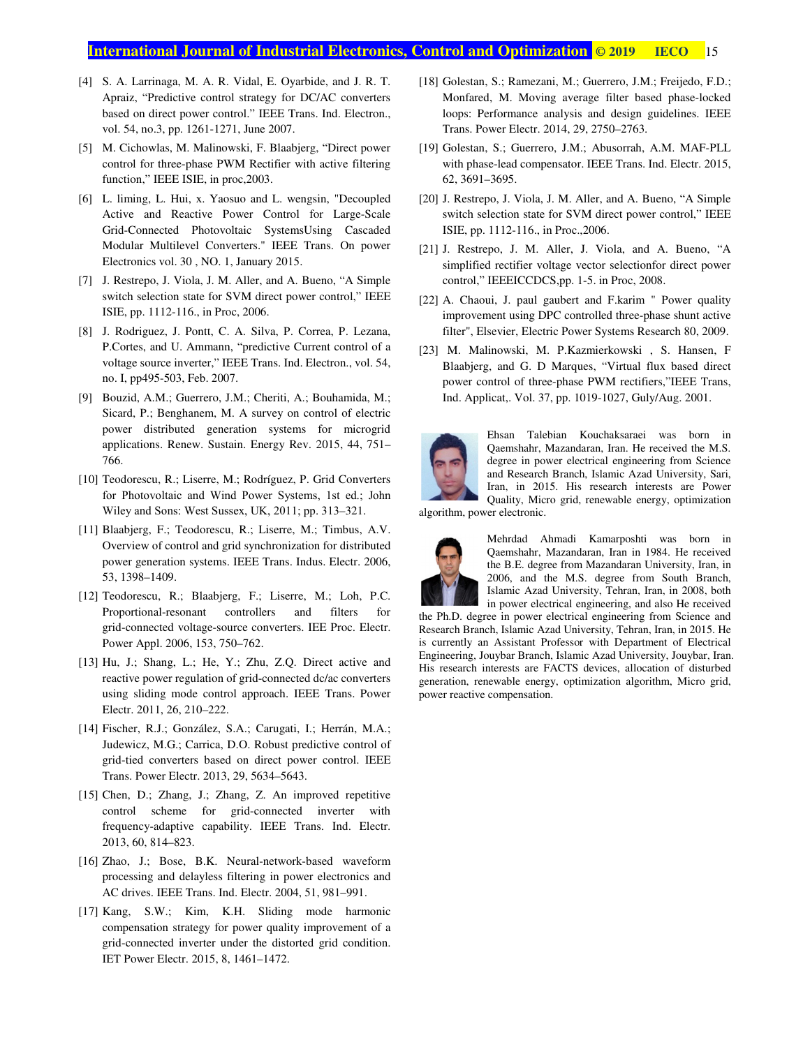- [4] S. A. Larrinaga, M. A. R. Vidal, E. Oyarbide, and J. R. T. Apraiz, "Predictive control strategy for DC/AC converters based on direct power control." IEEE Trans. Ind. Electron., vol. 54, no.3, pp. 1261-1271, June 2007.
- [5] M. Cichowlas, M. Malinowski, F. Blaabjerg, "Direct power control for three-phase PWM Rectifier with active filtering function," IEEE ISIE, in proc,2003.
- [6] L. liming, L. Hui, x. Yaosuo and L. wengsin, "Decoupled Active and Reactive Power Control for Large-Scale Grid-Connected Photovoltaic SystemsUsing Cascaded Modular Multilevel Converters." IEEE Trans. On power Electronics vol. 30 , NO. 1, January 2015.
- [7] J. Restrepo, J. Viola, J. M. Aller, and A. Bueno, "A Simple switch selection state for SVM direct power control," IEEE ISIE, pp. 1112-116., in Proc, 2006.
- [8] J. Rodriguez, J. Pontt, C. A. Silva, P. Correa, P. Lezana, P.Cortes, and U. Ammann, "predictive Current control of a voltage source inverter," IEEE Trans. Ind. Electron., vol. 54, no. I, pp495-503, Feb. 2007.
- [9] Bouzid, A.M.; Guerrero, J.M.; Cheriti, A.; Bouhamida, M.; Sicard, P.; Benghanem, M. A survey on control of electric power distributed generation systems for microgrid applications. Renew. Sustain. Energy Rev. 2015, 44, 751– 766.
- [10] Teodorescu, R.; Liserre, M.; Rodríguez, P. Grid Converters for Photovoltaic and Wind Power Systems, 1st ed.; John Wiley and Sons: West Sussex, UK, 2011; pp. 313–321.
- [11] Blaabjerg, F.; Teodorescu, R.; Liserre, M.; Timbus, A.V. Overview of control and grid synchronization for distributed power generation systems. IEEE Trans. Indus. Electr. 2006, 53, 1398–1409.
- [12] Teodorescu, R.; Blaabjerg, F.; Liserre, M.; Loh, P.C. Proportional-resonant controllers and filters for grid-connected voltage-source converters. IEE Proc. Electr. Power Appl. 2006, 153, 750–762.
- [13] Hu, J.; Shang, L.; He, Y.; Zhu, Z.Q. Direct active and reactive power regulation of grid-connected dc/ac converters using sliding mode control approach. IEEE Trans. Power Electr. 2011, 26, 210–222.
- [14] Fischer, R.J.; González, S.A.; Carugati, I.; Herrán, M.A.; Judewicz, M.G.; Carrica, D.O. Robust predictive control of grid-tied converters based on direct power control. IEEE Trans. Power Electr. 2013, 29, 5634–5643.
- [15] Chen, D.; Zhang, J.; Zhang, Z. An improved repetitive control scheme for grid-connected inverter with frequency-adaptive capability. IEEE Trans. Ind. Electr. 2013, 60, 814–823.
- [16] Zhao, J.; Bose, B.K. Neural-network-based waveform processing and delayless filtering in power electronics and AC drives. IEEE Trans. Ind. Electr. 2004, 51, 981–991.
- [17] Kang, S.W.; Kim, K.H. Sliding mode harmonic compensation strategy for power quality improvement of a grid-connected inverter under the distorted grid condition. IET Power Electr. 2015, 8, 1461–1472.
- [18] Golestan, S.; Ramezani, M.; Guerrero, J.M.; Freijedo, F.D.; Monfared, M. Moving average filter based phase-locked loops: Performance analysis and design guidelines. IEEE Trans. Power Electr. 2014, 29, 2750–2763.
- [19] Golestan, S.; Guerrero, J.M.; Abusorrah, A.M. MAF-PLL with phase-lead compensator. IEEE Trans. Ind. Electr. 2015, 62, 3691–3695.
- [20] J. Restrepo, J. Viola, J. M. Aller, and A. Bueno, "A Simple switch selection state for SVM direct power control," IEEE ISIE, pp. 1112-116., in Proc.,2006.
- [21] J. Restrepo, J. M. Aller, J. Viola, and A. Bueno, "A simplified rectifier voltage vector selectionfor direct power control," IEEEICCDCS,pp. 1-5. in Proc, 2008.
- [22] A. Chaoui, J. paul gaubert and F.karim " Power quality improvement using DPC controlled three-phase shunt active filter", Elsevier, Electric Power Systems Research 80, 2009.
- [23] M. Malinowski, M. P.Kazmierkowski , S. Hansen, F Blaabjerg, and G. D Marques, "Virtual flux based direct power control of three-phase PWM rectifiers,"IEEE Trans, Ind. Applicat,. Vol. 37, pp. 1019-1027, Guly/Aug. 2001.



Ehsan Talebian Kouchaksaraei was born in Qaemshahr, Mazandaran, Iran. He received the M.S. degree in power electrical engineering from Science and Research Branch, Islamic Azad University, Sari, Iran, in 2015. His research interests are Power Quality, Micro grid, renewable energy, optimization

algorithm, power electronic.



Mehrdad Ahmadi Kamarposhti was born in Qaemshahr, Mazandaran, Iran in 1984. He received the B.E. degree from Mazandaran University, Iran, in 2006, and the M.S. degree from South Branch, Islamic Azad University, Tehran, Iran, in 2008, both in power electrical engineering, and also He received

the Ph.D. degree in power electrical engineering from Science and Research Branch, Islamic Azad University, Tehran, Iran, in 2015. He is currently an Assistant Professor with Department of Electrical Engineering, Jouybar Branch, Islamic Azad University, Jouybar, Iran. His research interests are FACTS devices, allocation of disturbed generation, renewable energy, optimization algorithm, Micro grid, power reactive compensation.